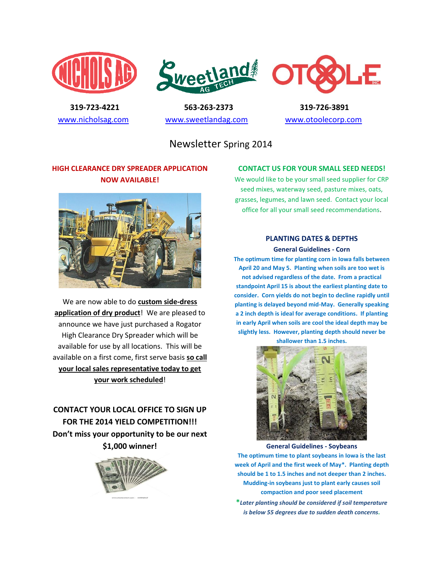





 **319-723-4221 563-263-2373 319-726-3891**  [www.nicholsag.com](http://www.nicholsag.com/) [www.sweetlandag.com](http://www.sweetlandag.com/) [www.otoolecorp.com](http://www.otoolecorp.com/)

Newsletter Spring 2014

## **HIGH CLEARANCE DRY SPREADER APPLICATION NOW AVAILABLE!**



We are now able to do **custom side-dress application of dry product**! We are pleased to announce we have just purchased a Rogator High Clearance Dry Spreader which will be available for use by all locations. This will be available on a first come, first serve basis **so call your local sales representative today to get your work scheduled**!

**CONTACT YOUR LOCAL OFFICE TO SIGN UP FOR THE 2014 YIELD COMPETITION!!! Don't miss your opportunity to be our next \$1,000 winner!**



### **CONTACT US FOR YOUR SMALL SEED NEEDS!**

We would like to be your small seed supplier for CRP seed mixes, waterway seed, pasture mixes, oats, grasses, legumes, and lawn seed. Contact your local office for all your small seed recommendations.

#### **PLANTING DATES & DEPTHS**

#### **General Guidelines - Corn**

**The optimum time for planting corn in Iowa falls between April 20 and May 5. Planting when soils are too wet is not advised regardless of the date. From a practical standpoint April 15 is about the earliest planting date to consider. Corn yields do not begin to decline rapidly until planting is delayed beyond mid-May. Generally speaking a 2 inch depth is ideal for average conditions. If planting in early April when soils are cool the ideal depth may be slightly less. However, planting depth should never be shallower than 1.5 inches.**



**General Guidelines - Soybeans**

**The optimum time to plant soybeans in Iowa is the last week of April and the first week of May\*. Planting depth should be 1 to 1.5 inches and not deeper than 2 inches. Mudding-in soybeans just to plant early causes soil compaction and poor seed placement**

**\****Later planting should be considered if soil temperature is below 55 degrees due to sudden death concerns.*